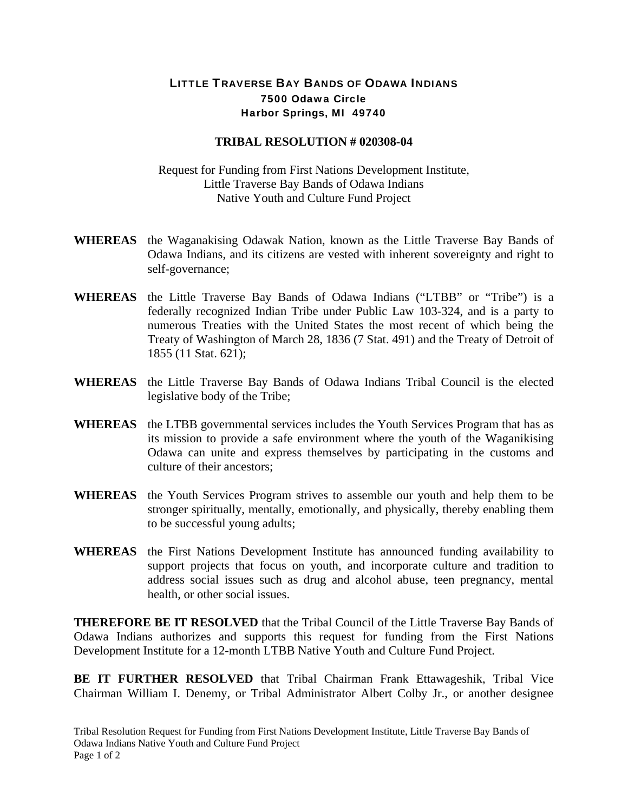## LITTLE TRAVERSE BAY BANDS OF ODAWA INDIANS 7500 Odawa Circle Harbor Springs, MI 49740

## **TRIBAL RESOLUTION # 020308-04**

Request for Funding from First Nations Development Institute, Little Traverse Bay Bands of Odawa Indians Native Youth and Culture Fund Project

- **WHEREAS** the Waganakising Odawak Nation, known as the Little Traverse Bay Bands of Odawa Indians, and its citizens are vested with inherent sovereignty and right to self-governance;
- **WHEREAS** the Little Traverse Bay Bands of Odawa Indians ("LTBB" or "Tribe") is a federally recognized Indian Tribe under Public Law 103-324, and is a party to numerous Treaties with the United States the most recent of which being the Treaty of Washington of March 28, 1836 (7 Stat. 491) and the Treaty of Detroit of 1855 (11 Stat. 621);
- **WHEREAS** the Little Traverse Bay Bands of Odawa Indians Tribal Council is the elected legislative body of the Tribe;
- **WHEREAS** the LTBB governmental services includes the Youth Services Program that has as its mission to provide a safe environment where the youth of the Waganikising Odawa can unite and express themselves by participating in the customs and culture of their ancestors;
- **WHEREAS** the Youth Services Program strives to assemble our youth and help them to be stronger spiritually, mentally, emotionally, and physically, thereby enabling them to be successful young adults;
- **WHEREAS** the First Nations Development Institute has announced funding availability to support projects that focus on youth, and incorporate culture and tradition to address social issues such as drug and alcohol abuse, teen pregnancy, mental health, or other social issues.

**THEREFORE BE IT RESOLVED** that the Tribal Council of the Little Traverse Bay Bands of Odawa Indians authorizes and supports this request for funding from the First Nations Development Institute for a 12-month LTBB Native Youth and Culture Fund Project.

**BE IT FURTHER RESOLVED** that Tribal Chairman Frank Ettawageshik, Tribal Vice Chairman William I. Denemy, or Tribal Administrator Albert Colby Jr., or another designee